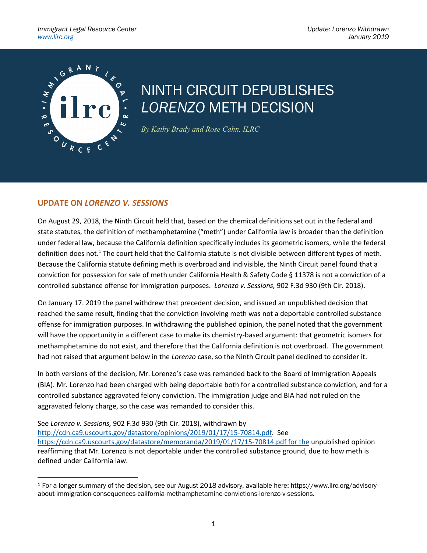

## NINTH CIRCUIT DEPUBLISHES *LORENZO* METH DECISION

*By Kathy Brady and Rose Cahn, ILRC*

## **UPDATE ON** *LORENZO V. SESSIONS*

On August 29, 2018, the Ninth Circuit held that, based on the chemical definitions set out in the federal and state statutes, the definition of methamphetamine ("meth") under California law is broader than the definition under federal law, because the California definition specifically includes its geometric isomers, while the federal definition does not.<sup>1</sup> The court held that the California statute is not divisible between different types of meth. Because the California statute defining meth is overbroad and indivisible, the Ninth Circuit panel found that a conviction for possession for sale of meth under California Health & Safety Code § 11378 is not a conviction of a controlled substance offense for immigration purposes. *Lorenzo v. Sessions,* 902 F.3d 930 (9th Cir. 2018).

On January 17. 2019 the panel withdrew that precedent decision, and issued an unpublished decision that reached the same result, finding that the conviction involving meth was not a deportable controlled substance offense for immigration purposes. In withdrawing the published opinion, the panel noted that the government will have the opportunity in a different case to make its chemistry-based argument: that geometric isomers for methamphetamine do not exist, and therefore that the California definition is not overbroad. The government had not raised that argument below in the *Lorenzo* case, so the Ninth Circuit panel declined to consider it.

In both versions of the decision, Mr. Lorenzo's case was remanded back to the Board of Immigration Appeals (BIA). Mr. Lorenzo had been charged with being deportable both for a controlled substance conviction, and for a controlled substance aggravated felony conviction. The immigration judge and BIA had not ruled on the aggravated felony charge, so the case was remanded to consider this.

See *Lorenzo v. Sessions,* 902 F.3d 930 (9th Cir. 2018), withdrawn by

 $\overline{a}$ 

http://cdn.ca9.uscourts.gov/datastore/opinions/2019/01/17/15-70814.pdf. See https://cdn.ca9.uscourts.gov/datastore/memoranda/2019/01/17/15-70814.pdf for the unpublished opinion reaffirming that Mr. Lorenzo is not deportable under the controlled substance ground, due to how meth is defined under California law.

<sup>1</sup> For a longer summary of the decision, see our August 2018 advisory, available here: https://www.ilrc.org/advisoryabout-immigration-consequences-california-methamphetamine-convictions-lorenzo-v-sessions.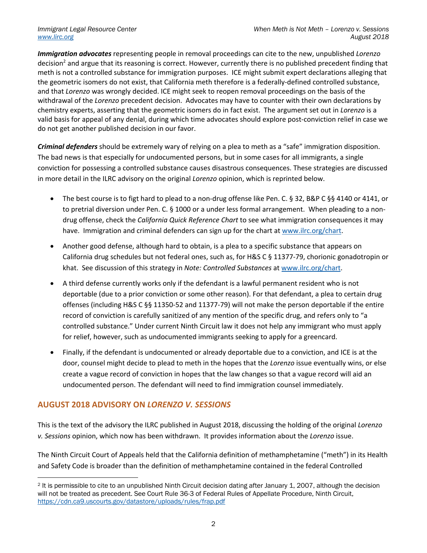*Immigration advocates* representing people in removal proceedings can cite to the new, unpublished *Lorenzo*  decision<sup>2</sup> and argue that its reasoning is correct. However, currently there is no published precedent finding that meth is not a controlled substance for immigration purposes. ICE might submit expert declarations alleging that the geometric isomers do not exist, that California meth therefore is a federally-defined controlled substance, and that *Lorenzo* was wrongly decided. ICE might seek to reopen removal proceedings on the basis of the withdrawal of the *Lorenzo* precedent decision. Advocates may have to counter with their own declarations by chemistry experts, asserting that the geometric isomers do in fact exist. The argument set out in *Lorenzo* is a valid basis for appeal of any denial, during which time advocates should explore post-conviction relief in case we do not get another published decision in our favor.

*Criminal defenders* should be extremely wary of relying on a plea to meth as a "safe" immigration disposition. The bad news is that especially for undocumented persons, but in some cases for all immigrants, a single conviction for possessing a controlled substance causes disastrous consequences. These strategies are discussed in more detail in the ILRC advisory on the original *Lorenzo* opinion, which is reprinted below.

- The best course is to figt hard to plead to a non-drug offense like Pen. C. § 32, B&P C §§ 4140 or 4141, or to pretrial diversion under Pen. C. § 1000 or a under less formal arrangement. When pleading to a nondrug offense, check the *California Quick Reference Chart* to see what immigration consequences it may have. Immigration and criminal defenders can sign up for the chart at www.ilrc.org/chart.
- Another good defense, although hard to obtain, is a plea to a specific substance that appears on California drug schedules but not federal ones, such as, for H&S C § 11377-79, chorionic gonadotropin or khat. See discussion of this strategy in *Note: Controlled Substances* at www.ilrc.org/chart.
- A third defense currently works only if the defendant is a lawful permanent resident who is not deportable (due to a prior conviction or some other reason). For that defendant, a plea to certain drug offenses (including H&S C §§ 11350-52 and 11377-79) will not make the person deportable if the entire record of conviction is carefully sanitized of any mention of the specific drug, and refers only to "a controlled substance." Under current Ninth Circuit law it does not help any immigrant who must apply for relief, however, such as undocumented immigrants seeking to apply for a greencard.
- Finally, if the defendant is undocumented or already deportable due to a conviction, and ICE is at the door, counsel might decide to plead to meth in the hopes that the *Lorenzo* issue eventually wins, or else create a vague record of conviction in hopes that the law changes so that a vague record will aid an undocumented person. The defendant will need to find immigration counsel immediately.

## **AUGUST 2018 ADVISORY ON** *LORENZO V. SESSIONS*

 $\overline{a}$ 

This is the text of the advisory the ILRC published in August 2018, discussing the holding of the original *Lorenzo v. Sessions* opinion, which now has been withdrawn. It provides information about the *Lorenzo* issue.

The Ninth Circuit Court of Appeals held that the California definition of methamphetamine ("meth") in its Health and Safety Code is broader than the definition of methamphetamine contained in the federal Controlled

<sup>2</sup> It is permissible to cite to an unpublished Ninth Circuit decision dating after January 1, 2007, although the decision will not be treated as precedent. See Court Rule 36-3 of Federal Rules of Appellate Procedure, Ninth Circuit, https://cdn.ca9.uscourts.gov/datastore/uploads/rules/frap.pdf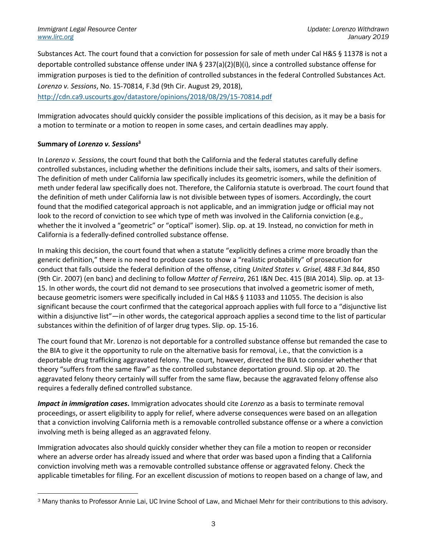Substances Act. The court found that a conviction for possession for sale of meth under Cal H&S § 11378 is not a deportable controlled substance offense under INA § 237(a)(2)(B)(i), since a controlled substance offense for immigration purposes is tied to the definition of controlled substances in the federal Controlled Substances Act. *Lorenzo v. Sessions*, No. 15-70814, F.3d (9th Cir. August 29, 2018),

http://cdn.ca9.uscourts.gov/datastore/opinions/2018/08/29/15-70814.pdf

Immigration advocates should quickly consider the possible implications of this decision, as it may be a basis for a motion to terminate or a motion to reopen in some cases, and certain deadlines may apply.

## **Summary of** *Lorenzo v. Sessions***<sup>3</sup>**

 $\overline{a}$ 

In *Lorenzo v. Sessions*, the court found that both the California and the federal statutes carefully define controlled substances, including whether the definitions include their salts, isomers, and salts of their isomers. The definition of meth under California law specifically includes its geometric isomers, while the definition of meth under federal law specifically does not. Therefore, the California statute is overbroad. The court found that the definition of meth under California law is not divisible between types of isomers. Accordingly, the court found that the modified categorical approach is not applicable, and an immigration judge or official may not look to the record of conviction to see which type of meth was involved in the California conviction (e.g., whether the it involved a "geometric" or "optical" isomer). Slip. op. at 19. Instead, no conviction for meth in California is a federally-defined controlled substance offense.

In making this decision, the court found that when a statute "explicitly defines a crime more broadly than the generic definition," there is no need to produce cases to show a "realistic probability" of prosecution for conduct that falls outside the federal definition of the offense, citing *United States v. Grisel,* 488 F.3d 844, 850 (9th Cir. 2007) (en banc) and declining to follow *Matter of Ferreira*, 261 I&N Dec. 415 (BIA 2014). Slip. op. at 13- 15. In other words, the court did not demand to see prosecutions that involved a geometric isomer of meth, because geometric isomers were specifically included in Cal H&S § 11033 and 11055. The decision is also significant because the court confirmed that the categorical approach applies with full force to a "disjunctive list within a disjunctive list"—in other words, the categorical approach applies a second time to the list of particular substances within the definition of of larger drug types. Slip. op. 15-16.

The court found that Mr. Lorenzo is not deportable for a controlled substance offense but remanded the case to the BIA to give it the opportunity to rule on the alternative basis for removal, i.e., that the conviction is a deportable drug trafficking aggravated felony. The court, however, directed the BIA to consider whether that theory "suffers from the same flaw" as the controlled substance deportation ground. Slip op. at 20. The aggravated felony theory certainly will suffer from the same flaw, because the aggravated felony offense also requires a federally defined controlled substance.

*Impact in immigration cases***.** Immigration advocates should cite *Lorenzo* as a basis to terminate removal proceedings, or assert eligibility to apply for relief, where adverse consequences were based on an allegation that a conviction involving California meth is a removable controlled substance offense or a where a conviction involving meth is being alleged as an aggravated felony.

Immigration advocates also should quickly consider whether they can file a motion to reopen or reconsider where an adverse order has already issued and where that order was based upon a finding that a California conviction involving meth was a removable controlled substance offense or aggravated felony. Check the applicable timetables for filing. For an excellent discussion of motions to reopen based on a change of law, and

<sup>3</sup> Many thanks to Professor Annie Lai, UC Irvine School of Law, and Michael Mehr for their contributions to this advisory.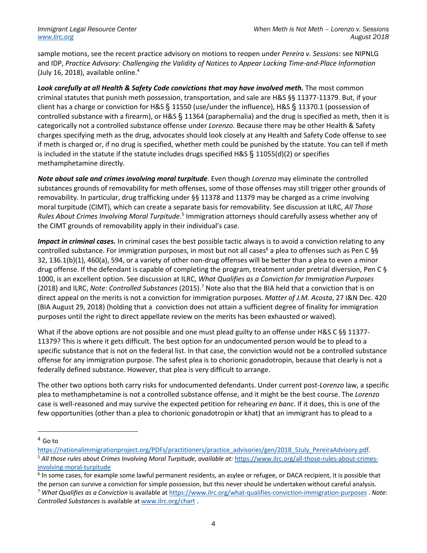sample motions, see the recent practice advisory on motions to reopen under *Pereira v. Sessions:* see NIPNLG and IDP, *Practice Advisory: Challenging the Validity of Notices to Appear Lacking Time-and-Place Information* (July 16, 2018), available online. $4$ 

*Look carefully at all Health & Safety Code convictions that may have involved meth.* The most common criminal statutes that punish meth possession, transportation, and sale are H&S §§ 11377-11379. But, if your client has a charge or conviction for H&S § 11550 (use/under the influence), H&S § 11370.1 (possession of controlled substance with a firearm), or H&S § 11364 (paraphernalia) and the drug is specified as meth, then it is categorically not a controlled substance offense under *Lorenzo.* Because there may be other Health & Safety charges specifying meth as the drug, advocates should look closely at any Health and Safety Code offense to see if meth is charged or, if no drug is specified, whether meth could be punished by the statute. You can tell if meth is included in the statute if the statute includes drugs specified H&S  $\S$  11055(d)(2) or specifies methamphetamine directly.

*Note about sale and crimes involving moral turpitude*. Even though *Lorenzo* may eliminate the controlled substances grounds of removability for meth offenses, some of those offenses may still trigger other grounds of removability. In particular, drug trafficking under §§ 11378 and 11379 may be charged as a crime involving moral turpitude (CIMT), which can create a separate basis for removability. See discussion at ILRC, *All Those Rules About Crimes Involving Moral Turpitude*. <sup>5</sup> Immigration attorneys should carefully assess whether any of the CIMT grounds of removability apply in their individual's case.

*Impact in criminal cases.* In criminal cases the best possible tactic always is to avoid a conviction relating to any controlled substance. For immigration purposes, in most but not all cases<sup>6</sup> a plea to offenses such as Pen C §§ 32, 136.1(b)(1), 460(a), 594, or a variety of other non-drug offenses will be better than a plea to even a minor drug offense. If the defendant is capable of completing the program, treatment under pretrial diversion, Pen C § 1000, is an excellent option. See discussion at ILRC, *What Qualifies as a Conviction for Immigration Purposes* (2018) and ILRC, *Note: Controlled Substances* (2015).7 Note also that the BIA held that a conviction that is on direct appeal on the merits is not a conviction for immigration purposes. *Matter of J.M. Acosta*, 27 I&N Dec. 420 (BIA August 29, 2018) (holding that a conviction does not attain a sufficient degree of finality for immigration purposes until the right to direct appellate review on the merits has been exhausted or waived).

What if the above options are not possible and one must plead guilty to an offense under H&S C §§ 11377-11379? This is where it gets difficult. The best option for an undocumented person would be to plead to a specific substance that is not on the federal list. In that case, the conviction would not be a controlled substance offense for any immigration purpose. The safest plea is to chorionic gonadotropin, because that clearly is not a federally defined substance. However, that plea is very difficult to arrange.

The other two options both carry risks for undocumented defendants. Under current post-*Lorenzo* law, a specific plea to methamphetamine is not a controlled substance offense, and it might be the best course. The *Lorenzo* case is well-reasoned and may survive the expected petition for rehearing *en banc*. If it does, this is one of the few opportunities (other than a plea to chorionic gonadotropin or khat) that an immigrant has to plead to a

 $\overline{a}$ 

<sup>4</sup> Go to

https://nationalimmigrationproject.org/PDFs/practitioners/practice\_advisories/gen/2018\_5July\_PereiraAdvisory.pdf. <sup>5</sup> All those rules about Crimes Involving Moral Turpitude, available at: https://www.ilrc.org/all-those-rules-about-crimesinvolving-moral-turpitude

 $6$  In some cases, for example some lawful permanent residents, an asylee or refugee, or DACA recipient, it is possible that

the person can survive a conviction for simple possession, but this never should be undertaken without careful analysis. <sup>7</sup> *What Qualifies as a Conviction* is available at https://www.ilrc.org/what-qualifies-conviction-immigration-purposes . *Note: Controlled Substances* is available at www.ilrc.org/chart .